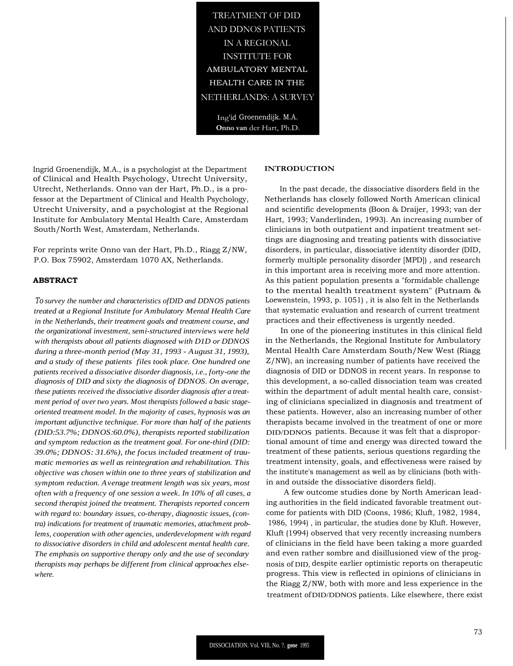TREATMENT OF DID AND DDNOS PATIENTS IN A REGIONAL INSTITUTE FOR AMBULATORY MENTAL HEALTH CARE IN THE NETHERLANDS: A SURVEY

> Ing'id Groenendijk. M.A. **Onno van** der Hart, Ph.D.

Ingrid Groenendijk, M.A., is a psychologist at the Department of Clinical and Health Psychology, Utrecht University, Utrecht, Netherlands. Onno van der Hart, Ph.D., is a professor at the Department of Clinical and Health Psychology, Utrecht University, and a psychologist at the Regional Institute for Ambulatory Mental Health Care, Amsterdam South/North West, Amsterdam, Netherlands.

For reprints write Onno van der Hart, Ph.D., Riagg Z/NW, P.O. Box 75902, Amsterdam 1070 AX, Netherlands.

# **ABSTRACT**

*To survey the number and characteristics ofDID and DDNOS patients treated at a Regional Institute for Ambulatory Mental Health Care in the Netherlands, their treatment goals and treatment course, and the organizational investment, semi-structured interviews were held with therapists about all patients diagnosed with D1D or DDNOS during a three-month period (May 31, 1993 - August 31, 1993), and a study of these patients* ' *files took place. One hundred one patients received a dissociative disorder diagnosis, i.e., forty-one the diagnosis of DID and sixty the diagnosis of DDNOS. On average, these patients received the dissociative disorder diagnosis after a treatment period of over two years. Most therapists followed a basic stageoriented treatment model. In the majority of cases, hypnosis was an important adjunctive technique. For more than half of the patients (DID:53.7%; DDNOS:60.0%), therapists reported stabilization and symptom reduction as the treatment goal. For one-third (DID: 39.0%; DDNOS: 31.6%), the focus included treatment of traumatic memories as well as reintegration and rehabilitation. This objective was chosen within one to three years of stabilization and symptom reduction. Average treatment length was six years, most often with a frequency of one session a week. In 10% of all cases, a second therapist joined the treatment. Therapists reported concern with regard to: boundary issues, co-therapy, diagnostic issues, (contra) indications for treatment of traumatic memories, attachment problems, cooperation with other agencies, underdevelopment with regard to dissociative disorders in child and adolescent mental health care. The emphasis on supportive therapy only and the use of secondary therapists may perhaps be different from clinical approaches elsewhere.*

#### **INTRODUCTION**

In the past decade, the dissociative disorders field in the Netherlands has closely followed North American clinical and scientific developments (Boon & Draijer, 1993; van der Hart, 1993; Vanderlinden, 1993). An increasing number of clinicians in both outpatient and inpatient treatment settings are diagnosing and treating patients with dissociative disorders, in particular, dissociative identity disorder (DID, formerly multiple personality disorder [MPD]) , and research in this important area is receiving more and more attention. As this patient population presents a "formidable challenge to the mental health treatment system" (Putnam & Loewenstein, 1993, p. 1051) , it is also felt in the Netherlands that systematic evaluation and research of current treatment practices and their effectiveness is urgently needed.

In one of the pioneering institutes in this clinical field in the Netherlands, the Regional Institute for Ambulatory Mental Health Care Amsterdam South/New West (Riagg Z/NW), an increasing number of patients have received the diagnosis of DID or DDNOS in recent years. In response to this development, a so-called dissociation team was created within the department of adult mental health care, consisting of clinicians specialized in diagnosis and treatment of these patients. However, also an increasing number of other therapists became involved in the treatment of one or more DID/DDNOS patients. Because it was felt that a disproportional amount of time and energy was directed toward the treatment of these patients, serious questions regarding the treatment intensity, goals, and effectiveness were raised by the institute's management as well as by clinicians (both within and outside the dissociative disorders field).

A few outcome studies done by North American leading authorities in the field indicated favorable treatment outcome for patients with DID (Coons, 1986; Kluft, 1982, 1984, 1986, 1994) , in particular, the studies done by Kluft. However, Kluft (1994) observed that very recently increasing numbers of clinicians in the field have been taking a more guarded and even rather sombre and disillusioned view of the prognosis of DID, despite earlier optimistic reports on therapeutic progress. This view is reflected in opinions of clinicians in the Riagg Z/NW, both with more and less experience in the treatment ofDID/DDNOS patients. Like elsewhere, there exist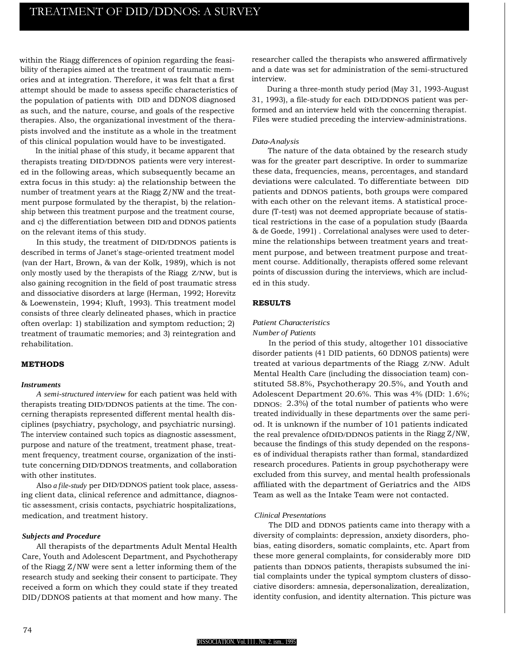within the Riagg differences of opinion regarding the feasibility of therapies aimed at the treatment of traumatic memories and at integration. Therefore, it was felt that a first attempt should be made to assess specific characteristics of the population of patients with DID and DDNOS diagnosed as such, and the nature, course, and goals of the respective therapies. Also, the organizational investment of the therapists involved and the institute as a whole in the treatment of this clinical population would have to be investigated.

In the initial phase of this study, it became apparent that therapists treating DID/DDNOS patients were very interested in the following areas, which subsequently became an extra focus in this study: a) the relationship between the number of treatment years at the Riagg Z/NW and the treatment purpose formulated by the therapist, b) the relationship between this treatment purpose and the treatment course, and c) the differentiation between DID and DDNOS patients on the relevant items of this study.

In this study, the treatment of DID/DDNOS patients is described in terms of Janet's stage-oriented treatment model (van der Hart, Brown, & van der Kolk, 1989), which is not only mostly used by the therapists of the Riagg Z/NW, but is also gaining recognition in the field of post traumatic stress and dissociative disorders at large (Herman, 1992; Horevitz & Loewenstein, 1994; Kluft, 1993). This treatment model consists of three clearly delineated phases, which in practice often overlap: 1) stabilization and symptom reduction; 2) treatment of traumatic memories; and 3) reintegration and rehabilitation.

# **METHODS**

#### *Instruments*

*A semi-structured interview* for each patient was held with therapists treating DID/DDNOS patients at the time. The concerning therapists represented different mental health disciplines (psychiatry, psychology, and psychiatric nursing). The interview contained such topics as diagnostic assessment, purpose and nature of the treatment, treatment phase, treatment frequency, treatment course, organization of the institute concerning DID/DDNOS treatments, and collaboration with other institutes.

Also *a file-study* per DID/DDNOS patient took place, assessing client data, clinical reference and admittance, diagnostic assessment, crisis contacts, psychiatric hospitalizations, medication, and treatment history.

#### *Subjects and Procedure*

All therapists of the departments Adult Mental Health Care, Youth and Adolescent Department, and Psychotherapy of the Riagg Z/NW were sent a letter informing them of the research study and seeking their consent to participate. They received a form on which they could state if they treated DID/DDNOS patients at that moment and how many. The researcher called the therapists who answered affirmatively and a date was set for administration of the semi-structured interview.

During a three-month study period (May 31, 1993-August 31, 1993), a file-study for each DID/DDNOS patient was performed and an interview held with the concerning therapist. Files were studied preceding the interview-administrations.

#### *Data-Analysis*

The nature of the data obtained by the research study was for the greater part descriptive. In order to summarize these data, frequencies, means, percentages, and standard deviations were calculated. To differentiate between DID patients and DDNOS patients, both groups were compared with each other on the relevant items. A statistical procedure (T-test) was not deemed appropriate because of statistical restrictions in the case of a population study (Baarda & de Goede, 1991) . Correlational analyses were used to determine the relationships between treatment years and treatment purpose, and between treatment purpose and treatment course. Additionally, therapists offered some relevant points of discussion during the interviews, which are included in this study.

# **RESULTS**

# *Patient Characteristics*

### *Number of Patients*

In the period of this study, altogether 101 dissociative disorder patients (41 DID patients, 60 DDNOS patients) were treated at various departments of the Riagg Z/NW. Adult Mental Health Care (including the dissociation team) constituted 58.8%, Psychotherapy 20.5%, and Youth and Adolescent Department 20.6%. This was 4% (DID: 1.6%; DDNOS: 2.3%) of the total number of patients who were treated individually in these departments over the same period. It is unknown if the number of 101 patients indicated the real prevalence ofDID/DDNOS patients in the Riagg Z/NW, because the findings of this study depended on the responses of individual therapists rather than formal, standardized research procedures. Patients in group psychotherapy were excluded from this survey, and mental health professionals affiliated with the department of Geriatrics and the AIDS Team as well as the Intake Team were not contacted.

#### *Clinical Presentations*

The DID and DDNOS patients came into therapy with a diversity of complaints: depression, anxiety disorders, phobias, eating disorders, somatic complaints, etc. Apart from these more general complaints, for considerably more DID patients than DDNOS patients, therapists subsumed the initial complaints under the typical symptom clusters of dissociative disorders: amnesia, depersonalization, derealization, identity confusion, and identity alternation. This picture was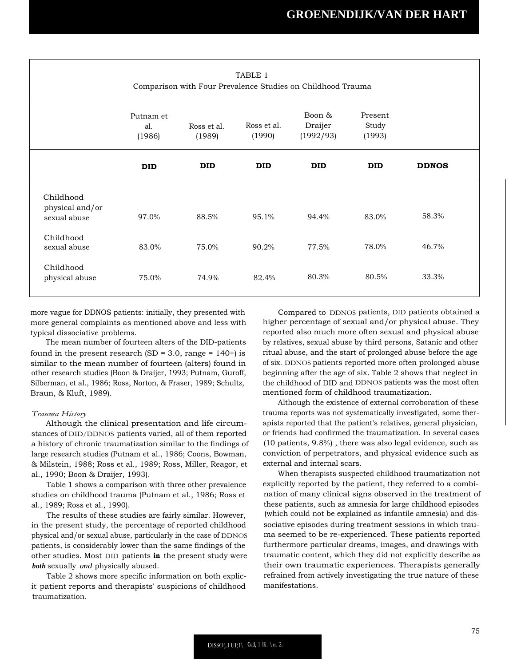| TABLE 1<br>Comparison with Four Prevalence Studies on Childhood Trauma |                            |                       |                       |                                |                            |              |  |
|------------------------------------------------------------------------|----------------------------|-----------------------|-----------------------|--------------------------------|----------------------------|--------------|--|
|                                                                        | Putnam et<br>al.<br>(1986) | Ross et al.<br>(1989) | Ross et al.<br>(1990) | Boon &<br>Draijer<br>(1992/93) | Present<br>Study<br>(1993) |              |  |
|                                                                        | <b>DID</b>                 | <b>DID</b>            | <b>DID</b>            | <b>DID</b>                     | <b>DID</b>                 | <b>DDNOS</b> |  |
| Childhood<br>physical and/or<br>sexual abuse                           | 97.0%                      | 88.5%                 | 95.1%                 | 94.4%                          | 83.0%                      | 58.3%        |  |
| Childhood<br>sexual abuse                                              | 83.0%                      | 75.0%                 | 90.2%                 | 77.5%                          | 78.0%                      | 46.7%        |  |
| Childhood<br>physical abuse                                            | 75.0%                      | 74.9%                 | 82.4%                 | 80.3%                          | 80.5%                      | 33.3%        |  |

more vague for DDNOS patients: initially, they presented with more general complaints as mentioned above and less with typical dissociative problems.

The mean number of fourteen alters of the DID-patients found in the present research  $(SD = 3.0, \text{range} = 140+)$  is similar to the mean number of fourteen (alters) found in other research studies (Boon & Draijer, 1993; Putnam, Guroff, Silberman, et al., 1986; Ross, Norton, & Fraser, 1989; Schultz, Braun, & Kluft, 1989).

#### *Trauma History*

Although the clinical presentation and life circumstances of DID/DDNOS patients varied, all of them reported a history of chronic traumatization similar to the findings of large research studies (Putnam et al., 1986; Coons, Bowman, & Milstein, 1988; Ross et al., 1989; Ross, Miller, Reagor, et al., 1990; Boon & Draijer, 1993).

Table 1 shows a comparison with three other prevalence studies on childhood trauma (Putnam et al., 1986; Ross et al., 1989; Ross et al., 1990).

The results of these studies are fairly similar. However, in the present study, the percentage of reported childhood physical and/or sexual abuse, particularly in the case of DDNOS patients, is considerably lower than the same findings of the other studies. Most DID patients **in** the present study were *both* sexually *and* physically abused.

Table 2 shows more specific information on both explicit patient reports and therapists' suspicions of childhood traumatization.

Compared to DDNOS patients, DID patients obtained a higher percentage of sexual and/or physical abuse. They reported also much more often sexual and physical abuse by relatives, sexual abuse by third persons, Satanic and other ritual abuse, and the start of prolonged abuse before the age of six. DDNOS patients reported more often prolonged abuse beginning after the age of six. Table 2 shows that neglect in the childhood of DID and DDNOS patients was the most often mentioned form of childhood traumatization.

Although the existence of external corroboration of these trauma reports was not systematically investigated, some therapists reported that the patient's relatives, general physician, or friends had confirmed the traumatization. In several cases (10 patients, 9.8%) , there was also legal evidence, such as conviction of perpetrators, and physical evidence such as external and internal scars.

When therapists suspected childhood traumatization not explicitly reported by the patient, they referred to a combination of many clinical signs observed in the treatment of these patients, such as amnesia for large childhood episodes (which could not be explained as infantile amnesia) and dissociative episodes during treatment sessions in which trauma seemed to be re-experienced. These patients reported furthermore particular dreams, images, and drawings with traumatic content, which they did not explicitly describe as their own traumatic experiences. Therapists generally refrained from actively investigating the true nature of these manifestations.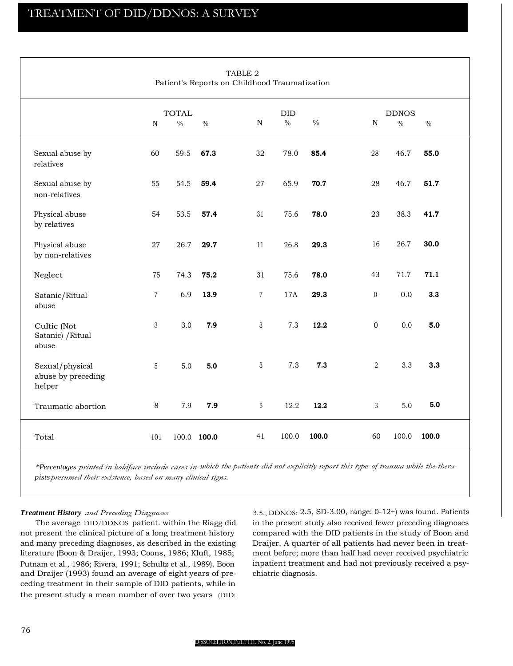|                                                 |                |              |               | TABLE 2<br>Patient's Reports on Childhood Traumatization |               |       |                  |              |       |  |
|-------------------------------------------------|----------------|--------------|---------------|----------------------------------------------------------|---------------|-------|------------------|--------------|-------|--|
|                                                 |                | <b>TOTAL</b> |               |                                                          | DID           |       |                  | <b>DDNOS</b> |       |  |
|                                                 | ${\bf N}$      | $\%$         | $\frac{0}{0}$ | ${\bf N}$                                                | $\frac{0}{0}$ | $\%$  | ${\bf N}$        | $\%$         | $\%$  |  |
| Sexual abuse by<br>relatives                    | 60             | 59.5         | 67.3          | 32                                                       | 78.0          | 85.4  | 28               | 46.7         | 55.0  |  |
| Sexual abuse by<br>non-relatives                | 55             | 54.5         | 59.4          | 27                                                       | 65.9          | 70.7  | 28               | 46.7         | 51.7  |  |
| Physical abuse<br>by relatives                  | 54             | 53.5         | 57.4          | 31                                                       | 75.6          | 78.0  | 23               | 38.3         | 41.7  |  |
| Physical abuse<br>by non-relatives              | 27             | 26.7         | 29.7          | 11                                                       | 26.8          | 29.3  | 16               | 26.7         | 30.0  |  |
| Neglect                                         | 75             | 74.3         | 75.2          | 31                                                       | 75.6          | 78.0  | 43               | 71.7         | 71.1  |  |
| Satanic/Ritual<br>abuse                         | $\overline{7}$ | 6.9          | 13.9          | $\overline{7}$                                           | 17A           | 29.3  | $\boldsymbol{0}$ | 0.0          | 3.3   |  |
| Cultic (Not<br>Satanic) / Ritual<br>abuse       | 3              | 3.0          | 7.9           | 3                                                        | 7.3           | 12.2  | $\overline{0}$   | 0.0          | 5.0   |  |
| Sexual/physical<br>abuse by preceding<br>helper | 5              | 5.0          | 5.0           | 3                                                        | 7.3           | 7.3   | $\overline{2}$   | 3.3          | 3.3   |  |
| Traumatic abortion                              | 8              | 7.9          | 7.9           | $5\phantom{.0}$                                          | 12.2          | 12.2  | $\mathfrak{Z}$   | 5.0          | 5.0   |  |
| Total                                           | 101            |              | 100.0 100.0   | 41                                                       | 100.0         | 100.0 | 60               | 100.0        | 100.0 |  |

*\*Percentages printed in boldface include cases in which the patients did not explicitly report this type of trauma while the therapists presumed their existence, based on many clinical signs.*

# *Treatment History and Preceding Diagnoses*

The average DID/DDNOS patient. within the Riagg did not present the clinical picture of a long treatment history and many preceding diagnoses, as described in the existing literature (Boon & Draijer, 1993; Coons, 1986; Kluft, 1985; Putnam et al., 1986; Rivera, 1991; Schultz et al., 1989). Boon and Draijer (1993) found an average of eight years of preceding treatment in their sample of DID patients, while in the present study a mean number of over two years (DID:

3.5., DDNOS: 2.5, SD-3.00, range: 0-12+) was found. Patients in the present study also received fewer preceding diagnoses compared with the DID patients in the study of Boon and Draijer. A quarter of all patients had never been in treatment before; more than half had never received psychiatric inpatient treatment and had not previously received a psychiatric diagnosis.

#### D[SSOCl:ITION,1'u1.1'111. No. 2. June 1995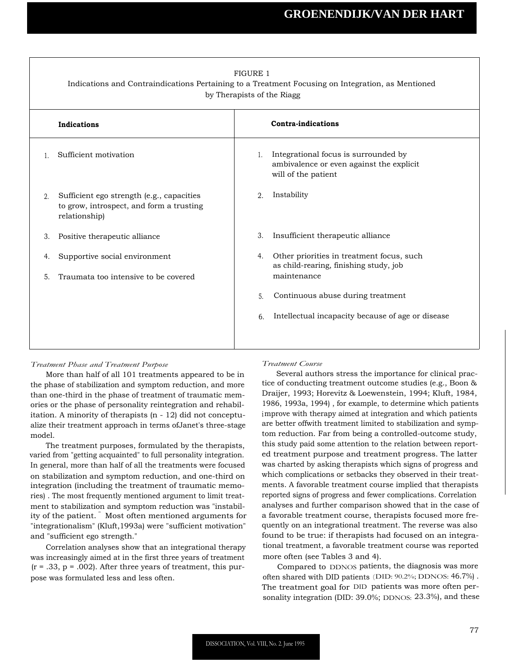|    |                                                                                                        | <b>FIGURE 1</b><br>by Therapists of the Riagg | Indications and Contraindications Pertaining to a Treatment Focusing on Integration, as Mentioned       |
|----|--------------------------------------------------------------------------------------------------------|-----------------------------------------------|---------------------------------------------------------------------------------------------------------|
|    | Indications                                                                                            |                                               | <b>Contra-indications</b>                                                                               |
|    | Sufficient motivation                                                                                  | $\mathbf{1}$ .                                | Integrational focus is surrounded by<br>ambivalence or even against the explicit<br>will of the patient |
| 2. | Sufficient ego strength (e.g., capacities<br>to grow, introspect, and form a trusting<br>relationship) | 2.                                            | Instability                                                                                             |
| 3. | Positive therapeutic alliance                                                                          | 3.                                            | Insufficient therapeutic alliance                                                                       |
| 4. | Supportive social environment                                                                          | 4.                                            | Other priorities in treatment focus, such<br>as child-rearing, finishing study, job                     |
| 5. | Traumata too intensive to be covered                                                                   |                                               | maintenance                                                                                             |
|    |                                                                                                        | 5.                                            | Continuous abuse during treatment                                                                       |
|    |                                                                                                        | 6.                                            | Intellectual incapacity because of age or disease                                                       |
|    |                                                                                                        |                                               |                                                                                                         |

## *Treatment Phase and Treatment Purpose*

More than half of all 101 treatments appeared to be in the phase of stabilization and symptom reduction, and more than one-third in the phase of treatment of traumatic memories or the phase of personality reintegration and rehabilitation. A minority of therapists (n - 12) did not conceptualize their treatment approach in terms ofJanet's three-stage model.

The treatment purposes, formulated by the therapists, varied from "getting acquainted" to full personality integration. In general, more than half of all the treatments were focused on stabilization and symptom reduction, and one-third on integration (including the treatment of traumatic memories) . The most frequently mentioned argument to limit treatment to stabilization and symptom reduction was "instability of the patient. " Most often mentioned arguments for "integrationalism" (Kluft,1993a) were "sufficient motivation" and "sufficient ego strength."

Correlation analyses show that an integrational therapy was increasingly aimed at in the first three years of treatment  $(r = .33, p = .002)$ . After three years of treatment, this purpose was formulated less and less often.

#### *Treatment Course*

Several authors stress the importance for clinical practice of conducting treatment outcome studies (e.g., Boon & Draijer, 1993; Horevitz & Loewenstein, 1994; Kluft, 1984, 1986, 1993a, 1994) , for example, to determine which patients improve with therapy aimed at integration and which patients are better offwith treatment limited to stabilization and symptom reduction. Far from being a controlled-outcome study, this study paid some attention to the relation between reported treatment purpose and treatment progress. The latter was charted by asking therapists which signs of progress and which complications or setbacks they observed in their treatments. A favorable treatment course implied that therapists reported signs of progress and fewer complications. Correlation analyses and further comparison showed that in the case of a favorable treatment course, therapists focused more frequently on an integrational treatment. The reverse was also found to be true: if therapists had focused on an integrational treatment, a favorable treatment course was reported more often (see Tables 3 and 4).

Compared to DDNOS patients, the diagnosis was more often shared with DID patients (DID: 90.2%; DDNOS: 46.7%) . The treatment goal for DID patients was more often personality integration (DID: 39.0%; DDNOS: 23.3%), and these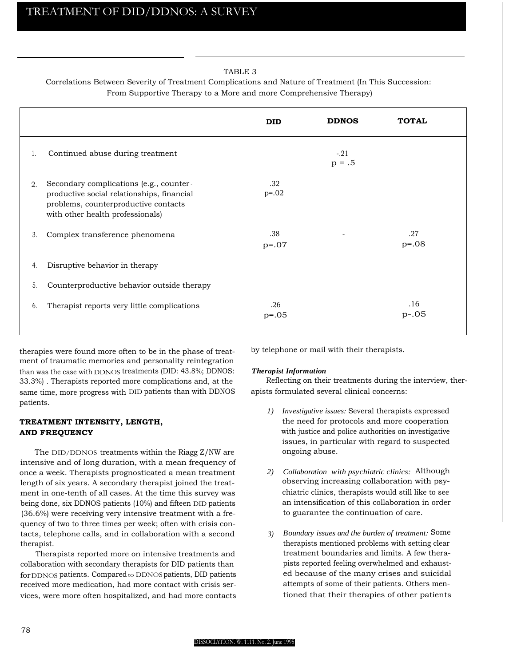# TABLE 3

# Correlations Between Severity of Treatment Complications and Nature of Treatment (In This Succession: From Supportive Therapy to a More and more Comprehensive Therapy)

|    |                                                                                                                                                                   | <b>DID</b>     | <b>DDNOS</b>       | <b>TOTAL</b>   |
|----|-------------------------------------------------------------------------------------------------------------------------------------------------------------------|----------------|--------------------|----------------|
| 1. | Continued abuse during treatment                                                                                                                                  |                | $-.21$<br>$p = .5$ |                |
| 2. | Secondary complications (e.g., counter-<br>productive social relationships, financial<br>problems, counterproductive contacts<br>with other health professionals) | .32<br>$p=.02$ |                    |                |
| 3. | Complex transference phenomena                                                                                                                                    | .38<br>$p=.07$ |                    | .27<br>$p=.08$ |
| 4. | Disruptive behavior in therapy                                                                                                                                    |                |                    |                |
| 5. | Counterproductive behavior outside therapy                                                                                                                        |                |                    |                |
| 6. | Therapist reports very little complications                                                                                                                       | .26<br>$p=.05$ |                    | .16<br>$p-.05$ |

therapies were found more often to be in the phase of treatment of traumatic memories and personality reintegration than was the case with DDNOS treatments (DID: 43.8%; DDNOS: 33.3%) . Therapists reported more complications and, at the same time, more progress with DID patients than with DDNOS patients.

# **TREATMENT INTENSITY, LENGTH, AND FREQUENCY**

The DID/DDNOS treatments within the Riagg Z/NW are intensive and of long duration, with a mean frequency of once a week. Therapists prognosticated a mean treatment length of six years. A secondary therapist joined the treatment in one-tenth of all cases. At the time this survey was being done, six DDNOS patients (10%) and fifteen DID patients (36.6%) were receiving very intensive treatment with a frequency of two to three times per week; often with crisis contacts, telephone calls, and in collaboration with a second therapist.

Therapists reported more on intensive treatments and collaboration with secondary therapists for DID patients than for DDNOS patients. Compared to DDNOS patients, DID patients received more medication, had more contact with crisis services, were more often hospitalized, and had more contacts by telephone or mail with their therapists.

## *Therapist Information*

Reflecting on their treatments during the interview, therapists formulated several clinical concerns:

- *1) Investigative issues:* Several therapists expressed the need for protocols and more cooperation with justice and police authorities on investigative issues, in particular with regard to suspected ongoing abuse.
- *2) Collaboration with psychiatric clinics:* Although observing increasing collaboration with psychiatric clinics, therapists would still like to see an intensification of this collaboration in order to guarantee the continuation of care.
- *3) Boundary issues and the burden of treatment:* Some therapists mentioned problems with setting clear treatment boundaries and limits. A few therapists reported feeling overwhelmed and exhausted because of the many crises and suicidal attempts of some of their patients. Others mentioned that their therapies of other patients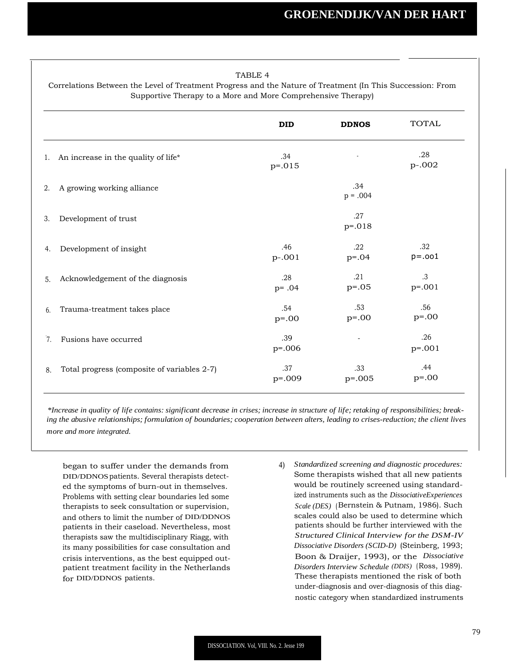# TABLE 4

Correlations Between the Level of Treatment Progress and the Nature of Treatment (In This Succession: From Supportive Therapy to a More and More Comprehensive Therapy)

|    |                                             | <b>DID</b>       | <b>DDNOS</b>      | <b>TOTAL</b>          |
|----|---------------------------------------------|------------------|-------------------|-----------------------|
|    | 1. An increase in the quality of life*      | .34<br>$p=.015$  |                   | .28<br>p-.002         |
| 2. | A growing working alliance                  |                  | .34<br>$p = .004$ |                       |
| 3. | Development of trust                        |                  | .27<br>$p=.018$   |                       |
| 4. | Development of insight                      | .46<br>p-.001    | .22<br>$p=.04$    | .32<br>$p = .001$     |
| 5. | Acknowledgement of the diagnosis            | .28<br>$p = .04$ | .21<br>$p=.05$    | $\cdot$ 3<br>$p=.001$ |
| 6. | Trauma-treatment takes place                | .54<br>$p = .00$ | .53<br>$p=.00$    | .56<br>$p=.00$        |
| 7. | Fusions have occurred                       | .39<br>$p=.006$  |                   | .26<br>$p=.001$       |
| 8. | Total progress (composite of variables 2-7) | .37<br>$p=.009$  | .33<br>$p=.005$   | .44<br>$p = .00$      |
|    |                                             |                  |                   |                       |

*\*Increase in quality of life contains: significant decrease in crises; increase in structure of life; retaking of responsibilities; breaking the abusive relationships; formulation of boundaries; cooperation between alters, leading to crises-reduction; the client lives more and more integrated.*

began to suffer under the demands from DID/DDNOSpatients. Several therapists detected the symptoms of burn-out in themselves. Problems with setting clear boundaries led some therapists to seek consultation or supervision, and others to limit the number of DID/DDNOS patients in their caseload. Nevertheless, most therapists saw the multidisciplinary Riagg, with its many possibilities for case consultation and crisis interventions, as the best equipped outpatient treatment facility in the Netherlands for DID/DDNOS patients.

4) *Standardized screening and diagnostic procedures:* Some therapists wished that all new patients would be routinely screened using standardized instruments such as the *DissociativeExperiences Scale (DES)* (Bernstein & Putnam, 1986). Such scales could also be used to determine which patients should be further interviewed with the *Structured Clinical Interview for the DSM-IV Dissociative Disorders (SCID-D)* (Steinberg, 1993; Boon & Draijer, 1993), or the *Dissociative Disorders Interview Schedule (DDIS)* (Ross, 1989). These therapists mentioned the risk of both under-diagnosis and over-diagnosis of this diagnostic category when standardized instruments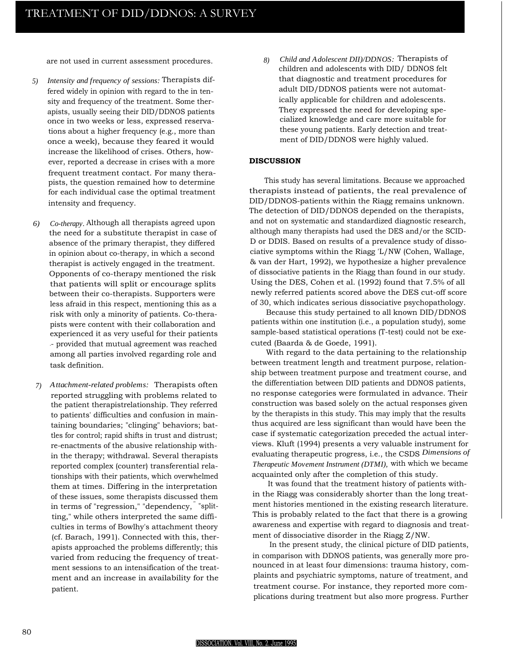are not used in current assessment procedures.

- *5) Intensity and frequency of sessions:* Therapists differed widely in opinion with regard to the in tensity and frequency of the treatment. Some therapists, usually seeing their DID/DDNOS patients once in two weeks or less, expressed reservations about a higher frequency (e.g., more than once a week), because they feared it would increase the likelihood of crises. Others, however, reported a decrease in crises with a more frequent treatment contact. For many therapists, the question remained how to determine for each individual case the optimal treatment intensity and frequency.
- *6) Co-therapy.* Although all therapists agreed upon the need for a substitute therapist in case of absence of the primary therapist, they differed in opinion about co-therapy, in which a second therapist is actively engaged in the treatment. Opponents of co-therapy mentioned the risk that patients will split or encourage splits between their co-therapists. Supporters were less afraid in this respect, mentioning this as a risk with only a minority of patients. Co-therapists were content with their collaboration and experienced it as very useful for their patients -- provided that mutual agreement was reached among all parties involved regarding role and task definition.
- *7) Attachment-related problems:* Therapists often reported struggling with problems related to the patient therapistrelationship. They referred to patients' difficulties and confusion in maintaining boundaries; "clinging" behaviors; battles for control; rapid shifts in trust and distrust; re-enactments of the abusive relationship within the therapy; withdrawal. Several therapists reported complex (counter) transferential relationships with their patients, which overwhelmed them at times. Differing in the interpretation of these issues, some therapists discussed them in terms of "regression," "dependency, " "splitting," while others interpreted the same difficulties in terms of Bowlhy's attachment theory (cf. Barach, 1991). Connected with this, therapists approached the problems differently; this varied from reducing the frequency of treatment sessions to an intensification of the treatment and an increase in availability for the patient.

*8) Child and Adolescent DII)/DDNOS:* Therapists of children and adolescents with DID/ DDNOS felt that diagnostic and treatment procedures for adult DID/DDNOS patients were not automatically applicable for children and adolescents. They expressed the need for developing specialized knowledge and care more suitable for these young patients. Early detection and treatment of DID/DDNOS were highly valued.

#### **DISCUSSION**

This study has several limitations. Because we approached therapists instead of patients, the real prevalence of DID/DDNOS-patients within the Riagg remains unknown. The detection of DID/DDNOS depended on the therapists, and not on systematic and standardized diagnostic research, although many therapists had used the DES and/or the SCID-D or DDIS. Based on results of a prevalence study of dissociative symptoms within the Riagg 'L/NW (Cohen, Wallage, & van der Hart, 1992), we hypothesize a higher prevalence of dissociative patients in the Riagg than found in our study. Using the DES, Cohen et al. (1992) found that 7.5% of all newly referred patients scored above the DES cut-off score of 30, which indicates serious dissociative psychopathology.

Because this study pertained to all known DID/DDNOS patients within one institution (i.e., a population study), some sample-based statistical operations (T-test) could not be executed (Baarda & de Goede, 1991).

With regard to the data pertaining to the relationship between treatment length and treatment purpose, relationship between treatment purpose and treatment course, and the differentiation between DID patients and DDNOS patients, no response categories were formulated in advance. Their construction was based solely on the actual responses given by the therapists in this study. This may imply that the results thus acquired are less significant than would have been the case if systematic categorization preceded the actual interviews. Kluft (1994) presents a very valuable instrument for evaluating therapeutic progress, i.e., the CSDS *Dimensions of Therapeutic Movement Instrument (DTMI),* with which we became acquainted only after the completion of this study.

It was found that the treatment history of patients within the Riagg was considerably shorter than the long treatment histories mentioned in the existing research literature. This is probably related to the fact that there is a growing awareness and expertise with regard to diagnosis and treatment of dissociative disorder in the Riagg Z/NW.

In the present study, the clinical picture of DID patients, in comparison with DDNOS patients, was generally more pronounced in at least four dimensions: trauma history, complaints and psychiatric symptoms, nature of treatment, and treatment course. For instance, they reported more complications during treatment but also more progress. Further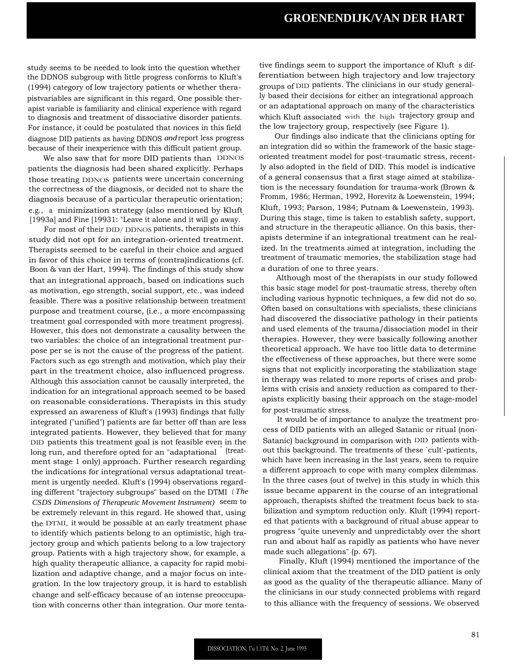study seems to be needed to look into the question whether the DDNOS subgroup with little progress conforms to Kluft's (1994) category of low trajectory patients or whether therapistvariables are significant in this regard. One possible therapist variable is familiarity and clinical experience with regard to diagnosis and treatment of dissociative disorder patients. For instance, it could be postulated that novices in this field diagnose DID patients as having DDNOS *and*report less progress because of their inexperience with this difficult patient group.

We also saw that for more DID patients than DDNOS patients the diagnosis had been shared explicitly. Perhaps those treating DDNOS patients were uncertain concerning the correctness of the diagnosis, or decided not to share the diagnosis because of a particular therapeutic orientation; e.g., a minimization strategy (also mentioned by Kluft [1993a] and Fine [19931: "Leave it alone and it will go away.

For most of their DID/ DDNOS patients, therapists in this study did not opt for an integration-oriented treatment. Therapists seemed to be careful in their choice and argued in favor of this choice in terms of (contra)indications (cf. Boon & van der Hart, 1994). The findings of this study show that an integrational approach, based on indications such as motivation, ego strength, social support, etc., was indeed feasible. There was a positive relationship between treatment purpose and treatment course, (i.e., a more encompassing treatment goal corresponded with more treatment progress). However, this does not demonstrate a causality between the two variables: the choice of an integrational treatment purpose per se is not the cause of the progress of the patient. Factors such as ego strength and motivation, which play their part in the treatment choice, also influenced progress. Although this association cannot be causally interpreted, the indication for an integrational approach seemed to be based on reasonable considerations. Therapists in this study expressed an awareness of Kluft's (1993) findings that fully integrated ("unified") patients are far better off than are less integrated patients. However, they believed that for many DID patients this treatment goal is not feasible even in the long run, and therefore opted for an "adaptational" (treatment stage 1 only) approach. Further research regarding the indications for integrational versus adaptational treatment is urgently needed. Kluft's (1994) observations regarding different "trajectory subgroups" based on the DTMI *( The CSDS Dimensions of Therapeutic Movement Instrument)* seem to be extremely relevant in this regard. He showed that, using the DTMI, it would be possible at an early treatment phase to identify which patients belong to an optimistic, high trajectory group and which patients belong to a low trajectory group. Patients with a high trajectory show, for example, a high quality therapeutic alliance, a capacity for rapid mobilization and adaptive change, and a major focus on integration. In the low trajectory group, it is hard to establish change and self-efficacy because of an intense preoccupation with concerns other than integration. Our more tenta-

tive findings seem to support the importance of Kluft s differentiation between high trajectory and low trajectory groups of DID patients. The clinicians in our study generally based their decisions for either an integrational approach or an adaptational approach on many of the characteristics which Kluft associated with the high trajectory group and the low trajectory group, respectively (see Figure 1).

Our findings also indicate that the clinicians opting for an integration did so within the framework of the basic stageoriented treatment model for post-traumatic stress, recently also adopted in the field of DID. This model is indicative of a general consensus that a first stage aimed at stabilization is the necessary foundation for trauma-work (Brown & Fromm, 1986; Herman, 1992, Horevitz & Loewenstein, 1994; Kluft, 1993; Parson, 1984; Putnam & Loewenstein, 1993). During this stage, time is taken to establish safety, support, and structure in the therapeutic alliance. On this basis, therapists determine if an integrational treatment can he realized. In the treatments aimed at integration, including the treatment of traumatic memories, the stabilization stage had a duration of one to three years.

Although most of the therapists in our study followed this basic stage model for post-traumatic stress, thereby often including various hypnotic techniques, a few did not do so. Often based on consultations with specialists, these clinicians had discovered the dissociative pathology in their patients and used elements of the trauma/dissociation model in their therapies. However, they were basically following another theoretical approach. We have too little data to determine the effectiveness of these approaches, but there were some signs that not explicitly incorporating the stabilization stage in therapy was related to more reports of crises and problems with crisis and anxiety reduction as compared to therapists explicitly basing their approach on the stage-model for post-traumatic stress.

It would be of importance to analyze the treatment process of DID patients with an alleged Satanic or ritual (non-Satanic) background in comparison with DID patients without this background. The treatments of these `cult'-patients, which have been increasing in the last years, seem to require a different approach to cope with many complex dilemmas. In the three cases (out of twelve) in this study in which this issue became apparent in the course of an integrational approach, therapists shifted the treatment focus back to stabilization and symptom reduction only. Kluft (1994) reported that patients with a background of ritual abuse appear to progress "quite unevenly and unpredictably over the short run and about half as rapidly as patients who have never made such allegations" (p. 67).

Finally, Kluft (1994) mentioned the importance of the clinical axiom that the treatment of the DID patient is only as good as the quality of the therapeutic alliance. Many of the clinicians in our study connected problems with regard to this alliance with the frequency of sessions. We observed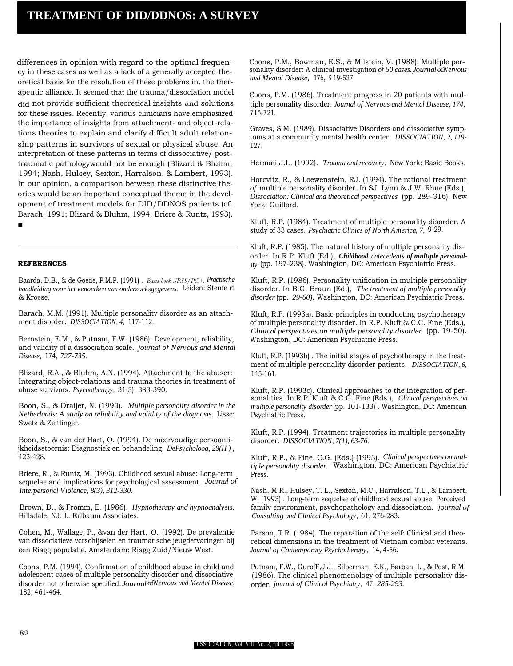# **TREATMENT OF DID/DDNOS: A SURVEY**

differences in opinion with regard to the optimal frequency in these cases as well as a lack of a generally accepted theoretical basis for the resolution of these problems in. the therapeutic alliance. It seemed that the trauma/dissociation model did not provide sufficient theoretical insights and solutions for these issues. Recently, various clinicians have emphasized the importance of insights from attachment- and object-relations theories to explain and clarify difficult adult relationship patterns in survivors of sexual or physical abuse. An interpretation of these patterns in terms of dissociative/ posttraumatic pathologywould not be enough (Blizard & Bluhm, 1994; Nash, Hulsey, Sexton, Harralson, & Lambert, 1993). In our opinion, a comparison between these distinctive the-

ories would be an important conceptual theme in the development of treatment models for DID/DDNOS patients (cf. Barach, 1991; Blizard & Bluhm, 1994; Briere & Runtz, 1993). ■

**REFERENCES**

Baarda, D.B., & de Goede, P.M.P. (1991) . *Basis bock SPSS/PC+. Practische handleiding voor het venoerken van onderzoeksgegevens.* Leiden: Stenfe rt & Kroese.

Barach, M.M. (1991). Multiple personality disorder as an attachment disorder. *DISSOCIATION, 4,* 117-112.

Bernstein, E.M., & Putnam, F.W. (1986). Development, reliability, and validity of a dissociation scale. *journal of Nervous and Mental Disease,* 174, *727-735.*

Blizard, R.A., & Bluhm, A.N. (1994). Attachment to the abuser: Integrating object-relations and trauma theories in treatment of abuse survivors. *Psychotherapy,* 31(3), 383-390.

Boon, S., & Draijer, N. (1993). *Multiple personality disorder in the Netherlands: A study on reliability and validity of the diagnosis.* Lisse: Swets & Zeitlinger.

Boon, S., & van der Hart, O. (1994). De meervoudige persoonlijkheidsstoornis: Diagnostiek en behandeling. *DePsycholoog, 29(H ) ,* 423-428.

Briere, R., & Runtz, M. (1993). Childhood sexual abuse: Long-term sequelae and implications for psychological assessment. *Journal of Interpersonal Violence, 8(3), 312-330.*

Brown, D., & Fromm, E. (1986). *Hypnotherapy and hypnoanalysis.* Hillsdale, NJ: L. Erlbaum Associates.

Cohen, M., Wallage, P., &van der Hart, *O.* (1992). De prevalentie van dissociatieve vcrschijselen en traumatische jeugdervaringen bij een Riagg populatie. Amsterdam: Riagg Zuid/Nieuw West.

Coons, P.M. (1994). Confirmation of childhood abuse in child and adolescent cases of multiple personality disorder and dissociative disorder not otherwise specified.*Journal*of*Nervous and Mental Disease,* 182, 461-464.

Coons, P.M., Bowman, E.S., & Milstein, V. (1988). Multiple personality disorder: A clinical investigation *of 50 cases.* ,*Journal*of*Nervous and Mental Disease,* 176, *<sup>5</sup>* 19-527.

Coons, P.M. (1986). Treatment progress in 20 patients with multiple personality disorder. *Journal of Nervous and Mental Disease, 174,* 715-721.

Graves, S.M. (1989). Dissociative Disorders and dissociative symptoms at a community mental health center. *DISSOCIATION, 2, 119-* 127.

Hermaii,J.I.. (1992). *Trauma and recovery.* New York: Basic Books.

Horcvitz, R., & Loewenstein, RJ. (1994). The rational treatment *of* multiple personality disorder. In SJ. Lynn & J.W. Rhue (Eds.), *Dissociation: Clinical and theoretical perspectives* (pp. 289-316). New York: Guilford.

Kluft, R.P. (1984). Treatment of multiple personality disorder. A study of 33 cases. *Psychiatric Clinics of North America, 7,* 9-29.

Kluft, R.P. (1985). The natural history of multiple personality disorder. In R.P. Kluft (Ed.), *Childhood antecedents of multiple personality* (pp. 197-238). Washington, DC: American Psychiatric Press.

Kluft, R.P. (1986). Personality unification in multiple personality disorder. In B.G. Braun (Ed.), *The treatment of multiple personality disorder* (pp. *29-60).* Washington, DC: American Psychiatric Press.

Kluft, R.P. (1993a). Basic principles in conducting psychotherapy of multiple personality disorder. In R.P. Kluft & C.C. Fine (Eds.), *Clinical perspectives on multiple personality disorder* (pp. 19-50). Washington, DC: American Psychiatric Press.

Kluft, R.P. (1993b) . The initial stages of psychotherapy in the treatment of multiple personality disorder patients. *DISSOCIATION, 6,* 145-161.

Kluft, R.P. (1993c). Clinical approaches to the integration of personalities. In R.P. Kluft & C.G. Fine (Eds.), *Clinical perspectives on multiple personality disorder* (pp. 101-133) . Washington, DC: American Psychiatric Press.

Kluft, R.P. (1994). Treatment trajectories in multiple personality disorder. *DISSOCIATION, 7(1), 63-76.*

Kluft, R.P., & Fine, C.G. (Eds.) (1993). *Clinical perspectives on multiple personality disorder.* Washington, DC: American Psychiatric Press.

Nash, M.R., Hulsey, T. L., Sexton, M.C., Harralson, T.L., & Lambert, W. (1993) . Long-term sequelae of childhood sexual abuse: Perceived family environment, psychopathology and dissociation. *journal of Consulting and Clinical Psychology,* 61, 276-283.

Parson, T.R. (1984). The reparation of the self: Clinical and theoretical dimensions in the treatment of Vietnam combat veterans. *Journal of Contemporary Psychotherapy,* 14, 4-56.

Putnam, F.W., GurofF,J J., Silberman, E.K., Barban, L., & Post, R.M. (1986). The clinical phenomenology of multiple personality disorder. *journal of Clinical Psychiatry,* 47, *285-293.*

#### DISSOCIATION, Vol. VIII. No. 2, jut 1995